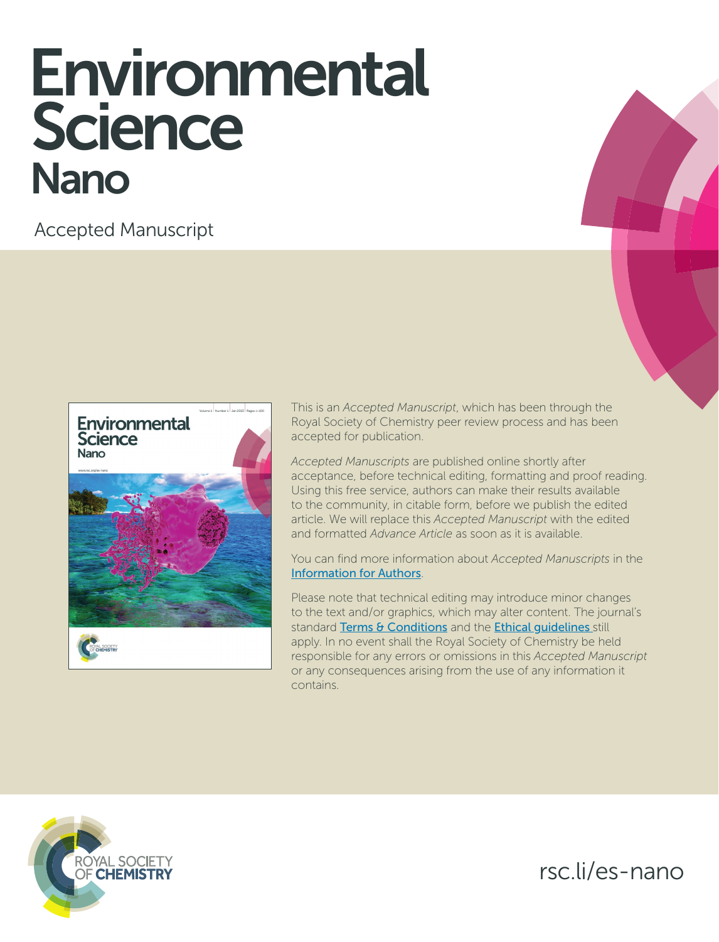# Environmental Science Nano

Accepted Manuscript



This is an *Accepted Manuscript*, which has been through the Royal Society of Chemistry peer review process and has been accepted for publication.

*Accepted Manuscripts* are published online shortly after acceptance, before technical editing, formatting and proof reading. Using this free service, authors can make their results available to the community, in citable form, before we publish the edited article. We will replace this *Accepted Manuscript* with the edited and formatted *Advance Article* as soon as it is available.

You can find more information about *Accepted Manuscripts* in the [Information for Authors](http://www.rsc.org/Publishing/Journals/guidelines/AuthorGuidelines/JournalPolicy/accepted_manuscripts.asp).

Please note that technical editing may introduce minor changes to the text and/or graphics, which may alter content. The journal's standard [Terms & Conditions](http://www.rsc.org/help/termsconditions.asp) and the Ethical quidelines still apply. In no event shall the Royal Society of Chemistry be held responsible for any errors or omissions in this *Accepted Manuscript* or any consequences arising from the use of any information it contains.



rsc.li/es-nano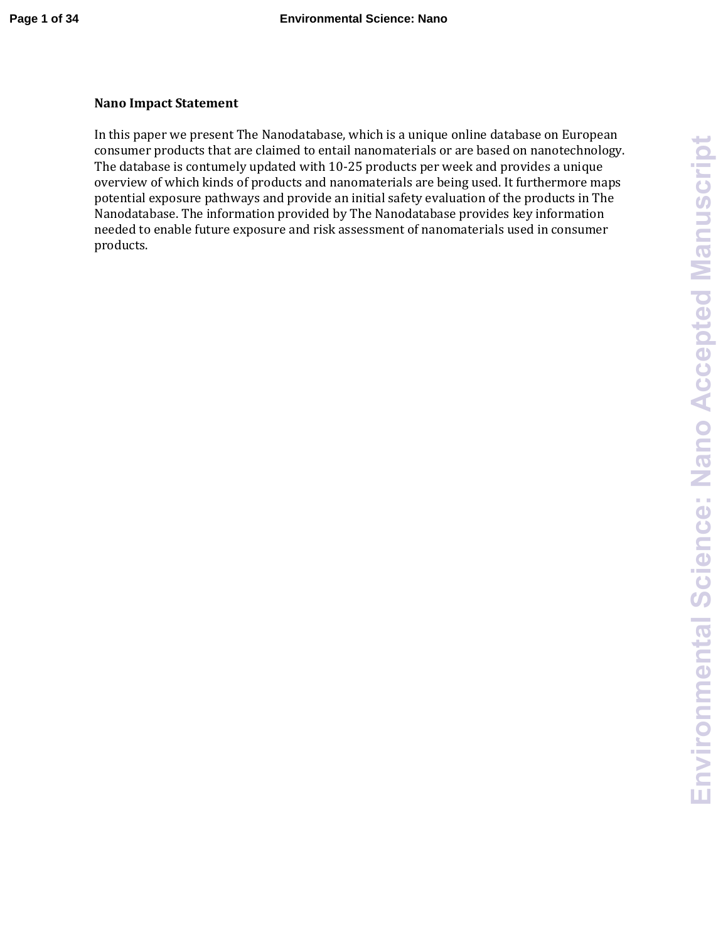## **Nano Impact Statement**

In this paper we present The Nanodatabase, which is a unique online database on European consumer products that are claimed to entail nanomaterials or are based on nanotechnology. The database is contumely updated with 10-25 products per week and provides a unique overview of which kinds of products and nanomaterials are being used. It furthermore maps potential exposure pathways and provide an initial safety evaluation of the products in The Nanodatabase. The information provided by The Nanodatabase provides key information needed to enable future exposure and risk assessment of nanomaterials used in consumer products.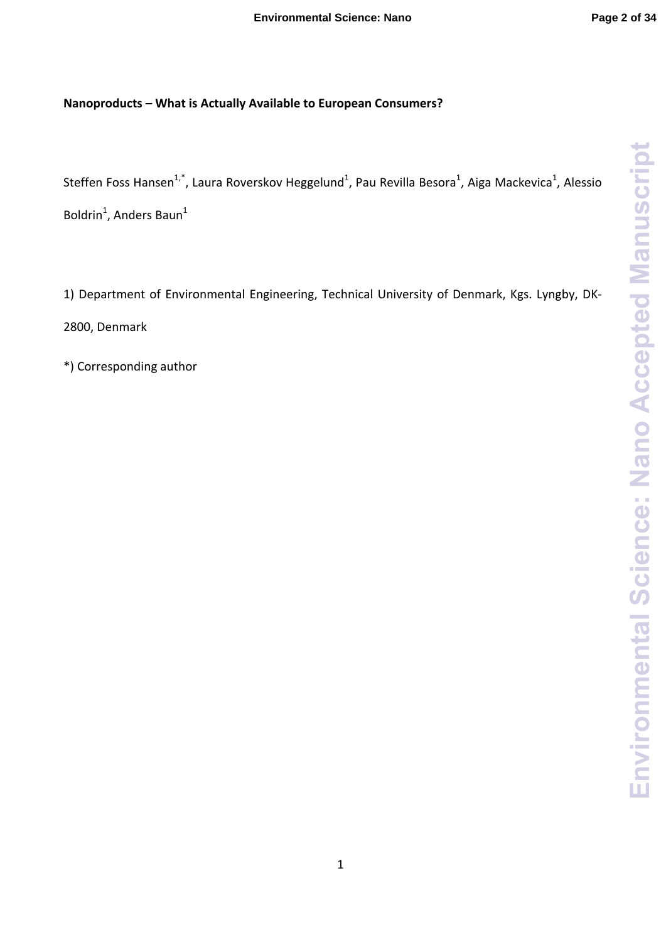# **Nanoproducts – What is Actually Available to European Consumers?**

Steffen Foss Hansen<sup>1,\*</sup>, Laura Roverskov Heggelund<sup>1</sup>, Pau Revilla Besora<sup>1</sup>, Aiga Mackevica<sup>1</sup>, Alessio Boldrin<sup>1</sup>, Anders Baun<sup>1</sup>

1) Department of Environmental Engineering, Technical University of Denmark, Kgs. Lyngby, DK‐ 2800, Denmark

\*) Corresponding author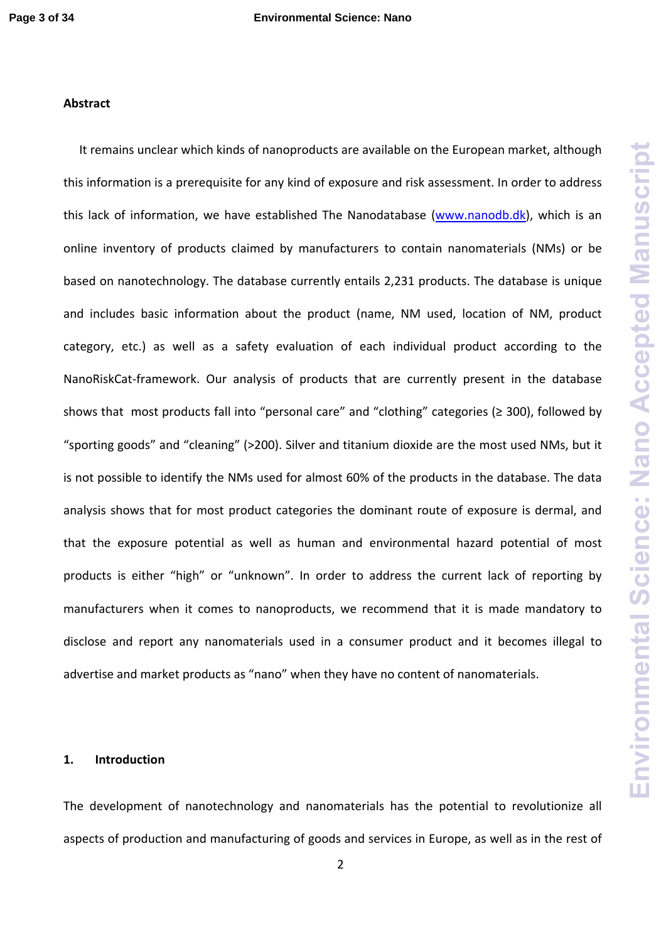# **Abstract**

It remains unclear which kinds of nanoproducts are available on the European market, although this information is a prerequisite for any kind of exposure and risk assessment. In order to address this lack of information, we have established The Nanodatabase (www.nanodb.dk), which is an online inventory of products claimed by manufacturers to contain nanomaterials (NMs) or be based on nanotechnology. The database currently entails 2,231 products. The database is unique and includes basic information about the product (name, NM used, location of NM, product category, etc.) as well as a safety evaluation of each individual product according to the NanoRiskCat‐framework. Our analysis of products that are currently present in the database shows that most products fall into "personal care" and "clothing" categories (≥ 300), followed by "sporting goods" and "cleaning" (>200). Silver and titanium dioxide are the most used NMs, but it is not possible to identify the NMs used for almost 60% of the products in the database. The data analysis shows that for most product categories the dominant route of exposure is dermal, and that the exposure potential as well as human and environmental hazard potential of most products is either "high" or "unknown". In order to address the current lack of reporting by manufacturers when it comes to nanoproducts, we recommend that it is made mandatory to disclose and report any nanomaterials used in a consumer product and it becomes illegal to advertise and market products as "nano" when they have no content of nanomaterials.

#### **1. Introduction**

The development of nanotechnology and nanomaterials has the potential to revolutionize all aspects of production and manufacturing of goods and services in Europe, as well as in the rest of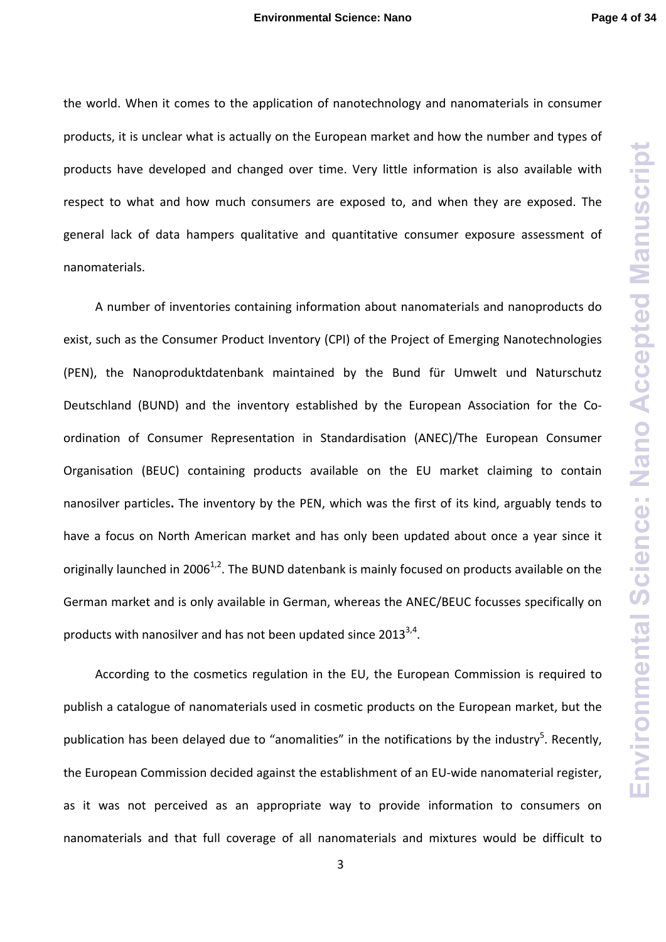**Environmental Science: Nano Accepted Manuscript Environmental Science: Nano Accepted Manuscript**

the world. When it comes to the application of nanotechnology and nanomaterials in consumer products, it is unclear what is actually on the European market and how the number and types of products have developed and changed over time. Very little information is also available with respect to what and how much consumers are exposed to, and when they are exposed. The general lack of data hampers qualitative and quantitative consumer exposure assessment of nanomaterials.

A number of inventories containing information about nanomaterials and nanoproducts do exist, such as the Consumer Product Inventory (CPI) of the Project of Emerging Nanotechnologies (PEN), the Nanoproduktdatenbank maintained by the Bund für Umwelt und Naturschutz Deutschland (BUND) and the inventory established by the European Association for the Coordination of Consumer Representation in Standardisation (ANEC)/The European Consumer Organisation (BEUC) containing products available on the EU market claiming to contain nanosilver particles**.** The inventory by the PEN, which was the first of its kind, arguably tends to have a focus on North American market and has only been updated about once a year since it originally launched in 2006<sup>1,2</sup>. The BUND datenbank is mainly focused on products available on the German market and is only available in German, whereas the ANEC/BEUC focusses specifically on products with nanosilver and has not been updated since  $2013^{3,4}$ .

According to the cosmetics regulation in the EU, the European Commission is required to publish a catalogue of nanomaterials used in cosmetic products on the European market, but the publication has been delayed due to "anomalities" in the notifications by the industry<sup>5</sup>. Recently, the European Commission decided against the establishment of an EU‐wide nanomaterial register, as it was not perceived as an appropriate way to provide information to consumers on nanomaterials and that full coverage of all nanomaterials and mixtures would be difficult to

3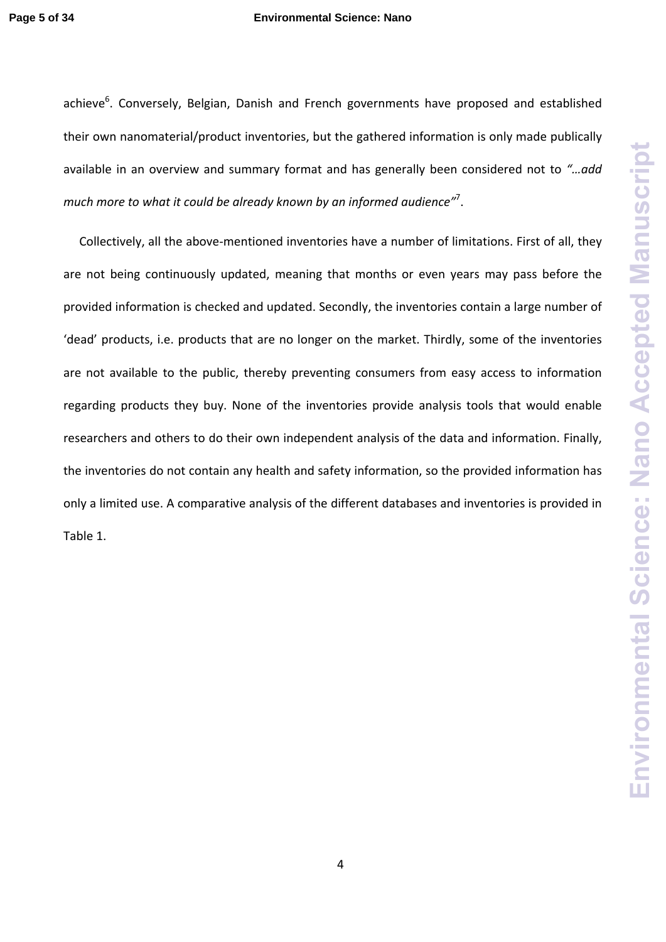#### **Page 5 of 34 Environmental Science: Nano**

achieve<sup>6</sup>. Conversely, Belgian, Danish and French governments have proposed and established their own nanomaterial/product inventories, but the gathered information is only made publically available in an overview and summary format and has generally been considered not to *"…add much more to what it could be already known by an informed audience"*<sup>7</sup> .

Collectively, all the above‐mentioned inventories have a number of limitations. First of all, they are not being continuously updated, meaning that months or even years may pass before the provided information is checked and updated. Secondly, the inventories contain a large number of 'dead' products, i.e. products that are no longer on the market. Thirdly, some of the inventories are not available to the public, thereby preventing consumers from easy access to information regarding products they buy. None of the inventories provide analysis tools that would enable researchers and others to do their own independent analysis of the data and information. Finally, the inventories do not contain any health and safety information, so the provided information has only a limited use. A comparative analysis of the different databases and inventories is provided in Table 1.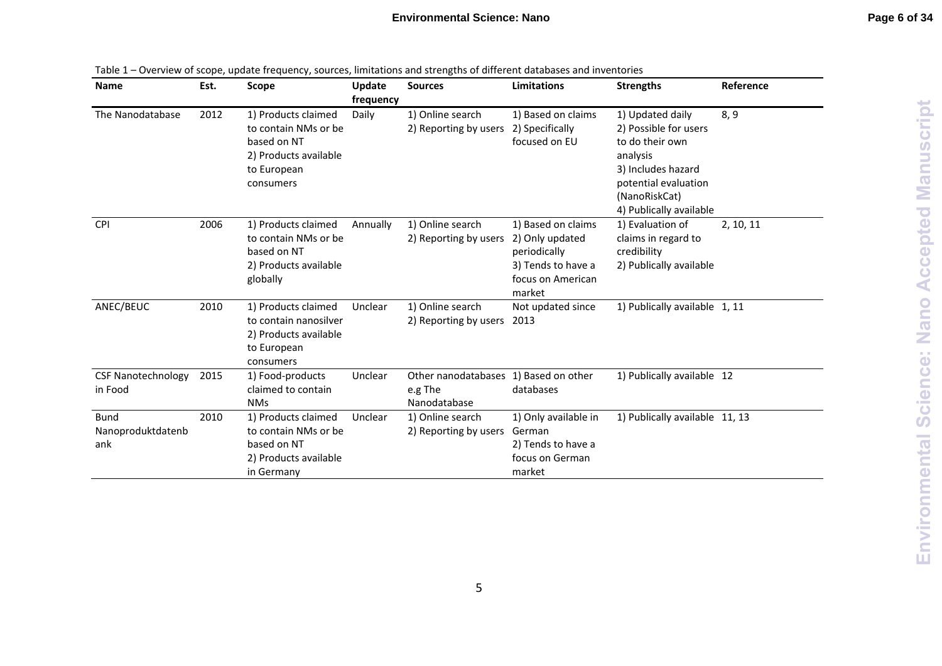| Name                                    | Est. | Scope                                                                                                           | Update    | <b>Sources</b>                                                   | <b>Limitations</b>                                                                                         | <b>Strengths</b>                                                                                                                                                   | Reference |
|-----------------------------------------|------|-----------------------------------------------------------------------------------------------------------------|-----------|------------------------------------------------------------------|------------------------------------------------------------------------------------------------------------|--------------------------------------------------------------------------------------------------------------------------------------------------------------------|-----------|
|                                         |      |                                                                                                                 | frequency |                                                                  |                                                                                                            |                                                                                                                                                                    |           |
| The Nanodatabase                        | 2012 | 1) Products claimed<br>to contain NMs or be<br>based on NT<br>2) Products available<br>to European<br>consumers | Daily     | 1) Online search<br>2) Reporting by users                        | 1) Based on claims<br>2) Specifically<br>focused on EU                                                     | 1) Updated daily<br>2) Possible for users<br>to do their own<br>analysis<br>3) Includes hazard<br>potential evaluation<br>(NanoRiskCat)<br>4) Publically available | 8, 9      |
| <b>CPI</b>                              | 2006 | 1) Products claimed<br>to contain NMs or be<br>based on NT<br>2) Products available<br>globally                 | Annually  | 1) Online search<br>2) Reporting by users                        | 1) Based on claims<br>2) Only updated<br>periodically<br>3) Tends to have a<br>focus on American<br>market | 1) Evaluation of<br>claims in regard to<br>credibility<br>2) Publically available                                                                                  | 2, 10, 11 |
| ANEC/BEUC                               | 2010 | 1) Products claimed<br>to contain nanosilver<br>2) Products available<br>to European<br>consumers               | Unclear   | 1) Online search<br>2) Reporting by users                        | Not updated since<br>2013                                                                                  | 1) Publically available 1, 11                                                                                                                                      |           |
| <b>CSF Nanotechnology</b><br>in Food    | 2015 | 1) Food-products<br>claimed to contain<br><b>NMs</b>                                                            | Unclear   | Other nanodatabases 1) Based on other<br>e.g The<br>Nanodatabase | databases                                                                                                  | 1) Publically available 12                                                                                                                                         |           |
| <b>Bund</b><br>Nanoproduktdatenb<br>ank | 2010 | 1) Products claimed<br>to contain NMs or be<br>based on NT<br>2) Products available<br>in Germany               | Unclear   | 1) Online search<br>2) Reporting by users                        | 1) Only available in<br>German<br>2) Tends to have a<br>focus on German<br>market                          | 1) Publically available 11, 13                                                                                                                                     |           |

|  |  | Table 1 – Overview of scope, update frequency, sources, limitations and strengths of different databases and inventories |  |
|--|--|--------------------------------------------------------------------------------------------------------------------------|--|
|  |  |                                                                                                                          |  |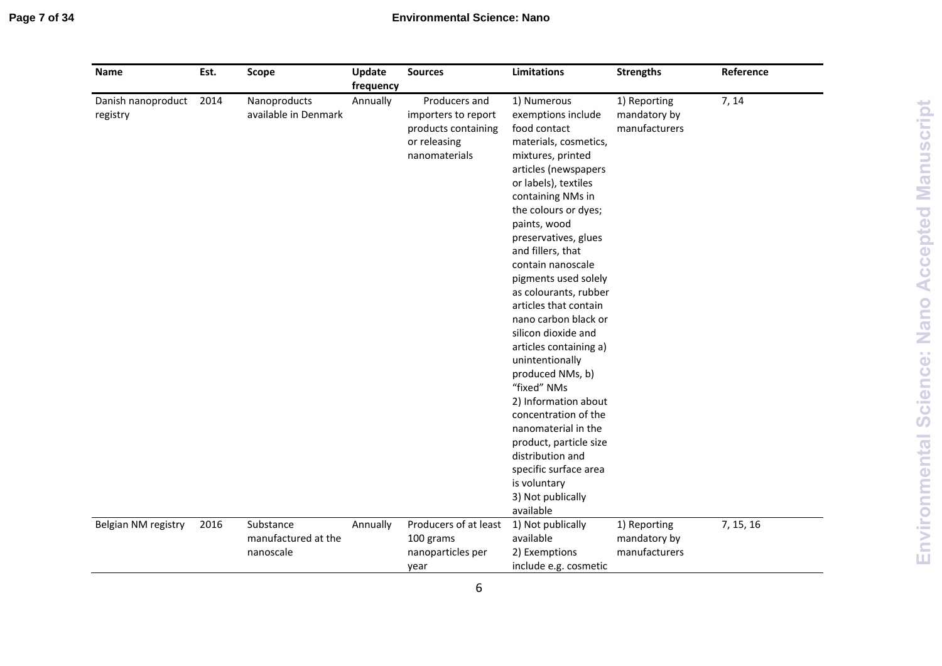# **Environmental Science: Nano**

| Name                           | Est. | <b>Scope</b>                                  | Update<br>frequency | <b>Sources</b>                                                                               | <b>Limitations</b>                                                                                                                                                                                                                                                                                                                                                                                                                                                                                                                                                                                                                                                                      | <b>Strengths</b>                              | Reference |
|--------------------------------|------|-----------------------------------------------|---------------------|----------------------------------------------------------------------------------------------|-----------------------------------------------------------------------------------------------------------------------------------------------------------------------------------------------------------------------------------------------------------------------------------------------------------------------------------------------------------------------------------------------------------------------------------------------------------------------------------------------------------------------------------------------------------------------------------------------------------------------------------------------------------------------------------------|-----------------------------------------------|-----------|
| Danish nanoproduct<br>registry | 2014 | Nanoproducts<br>available in Denmark          | Annually            | Producers and<br>importers to report<br>products containing<br>or releasing<br>nanomaterials | 1) Numerous<br>exemptions include<br>food contact<br>materials, cosmetics,<br>mixtures, printed<br>articles (newspapers<br>or labels), textiles<br>containing NMs in<br>the colours or dyes;<br>paints, wood<br>preservatives, glues<br>and fillers, that<br>contain nanoscale<br>pigments used solely<br>as colourants, rubber<br>articles that contain<br>nano carbon black or<br>silicon dioxide and<br>articles containing a)<br>unintentionally<br>produced NMs, b)<br>"fixed" NMs<br>2) Information about<br>concentration of the<br>nanomaterial in the<br>product, particle size<br>distribution and<br>specific surface area<br>is voluntary<br>3) Not publically<br>available | 1) Reporting<br>mandatory by<br>manufacturers | 7, 14     |
| Belgian NM registry            | 2016 | Substance<br>manufactured at the<br>nanoscale | Annually            | Producers of at least<br>100 grams<br>nanoparticles per<br>year                              | 1) Not publically<br>available<br>2) Exemptions<br>include e.g. cosmetic                                                                                                                                                                                                                                                                                                                                                                                                                                                                                                                                                                                                                | 1) Reporting<br>mandatory by<br>manufacturers | 7, 15, 16 |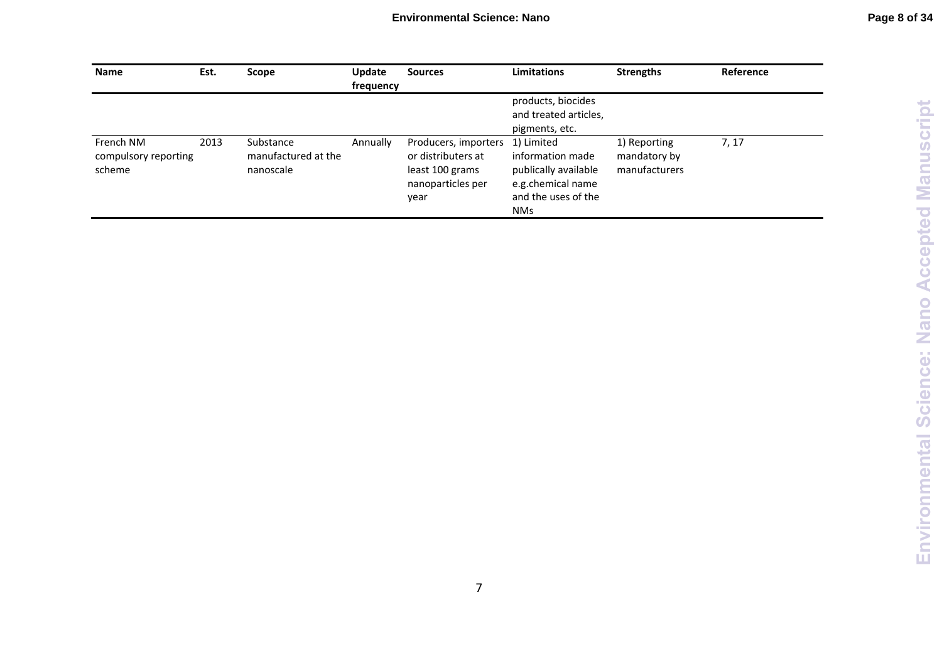Environmental Science: Nano Accepted Manuscript **Environmental Science: Nano Accepted Manuscript**

| <b>Name</b>                                 | Est. | Scope                                         | <b>Update</b><br>frequency | <b>Sources</b>                                                                             | <b>Limitations</b>                                                                                               | <b>Strengths</b>                              | Reference |
|---------------------------------------------|------|-----------------------------------------------|----------------------------|--------------------------------------------------------------------------------------------|------------------------------------------------------------------------------------------------------------------|-----------------------------------------------|-----------|
|                                             |      |                                               |                            |                                                                                            | products, biocides<br>and treated articles,<br>pigments, etc.                                                    |                                               |           |
| French NM<br>compulsory reporting<br>scheme | 2013 | Substance<br>manufactured at the<br>nanoscale | Annually                   | Producers, importers<br>or distributers at<br>least 100 grams<br>nanoparticles per<br>year | 1) Limited<br>information made<br>publically available<br>e.g.chemical name<br>and the uses of the<br><b>NMs</b> | 1) Reporting<br>mandatory by<br>manufacturers | 7, 17     |

7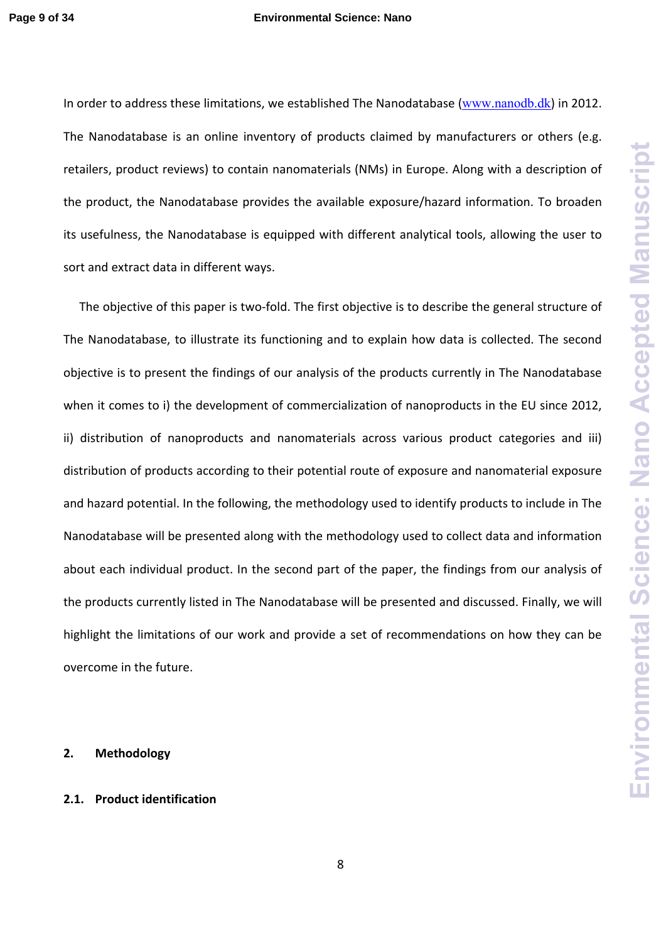In order to address these limitations, we established The Nanodatabase (www.nanodb.dk) in 2012. The Nanodatabase is an online inventory of products claimed by manufacturers or others (e.g. retailers, product reviews) to contain nanomaterials (NMs) in Europe. Along with a description of the product, the Nanodatabase provides the available exposure/hazard information. To broaden its usefulness, the Nanodatabase is equipped with different analytical tools, allowing the user to sort and extract data in different ways.

The objective of this paper is two-fold. The first objective is to describe the general structure of The Nanodatabase, to illustrate its functioning and to explain how data is collected. The second objective is to present the findings of our analysis of the products currently in The Nanodatabase when it comes to i) the development of commercialization of nanoproducts in the EU since 2012, ii) distribution of nanoproducts and nanomaterials across various product categories and iii) distribution of products according to their potential route of exposure and nanomaterial exposure and hazard potential. In the following, the methodology used to identify products to include in The Nanodatabase will be presented along with the methodology used to collect data and information about each individual product. In the second part of the paper, the findings from our analysis of the products currently listed in The Nanodatabase will be presented and discussed. Finally, we will highlight the limitations of our work and provide a set of recommendations on how they can be overcome in the future.

### **2. Methodology**

## **2.1. Product identification**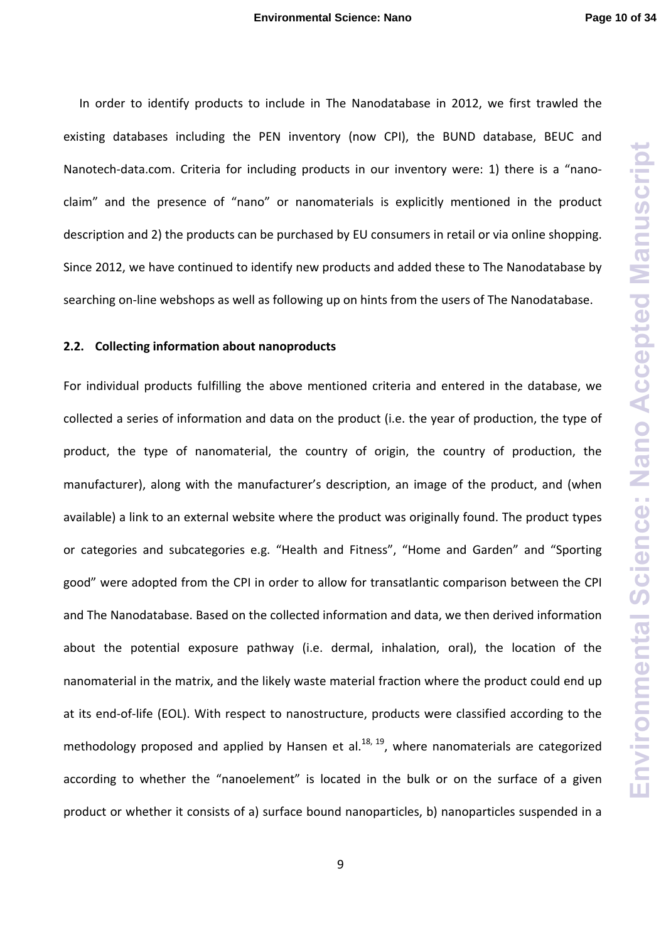In order to identify products to include in The Nanodatabase in 2012, we first trawled the existing databases including the PEN inventory (now CPI), the BUND database, BEUC and Nanotech-data.com. Criteria for including products in our inventory were: 1) there is a "nanoclaim" and the presence of "nano" or nanomaterials is explicitly mentioned in the product description and 2) the products can be purchased by EU consumers in retail or via online shopping. Since 2012, we have continued to identify new products and added these to The Nanodatabase by searching on-line webshops as well as following up on hints from the users of The Nanodatabase.

#### **2.2. Collecting information about nanoproducts**

For individual products fulfilling the above mentioned criteria and entered in the database, we collected a series of information and data on the product (i.e. the year of production, the type of product, the type of nanomaterial, the country of origin, the country of production, the manufacturer), along with the manufacturer's description, an image of the product, and (when available) a link to an external website where the product was originally found. The product types or categories and subcategories e.g. "Health and Fitness", "Home and Garden" and "Sporting good" were adopted from the CPI in order to allow for transatlantic comparison between the CPI and The Nanodatabase. Based on the collected information and data, we then derived information about the potential exposure pathway (i.e. dermal, inhalation, oral), the location of the nanomaterial in the matrix, and the likely waste material fraction where the product could end up at its end‐of‐life (EOL). With respect to nanostructure, products were classified according to the methodology proposed and applied by Hansen et al.<sup>18, 19</sup>, where nanomaterials are categorized according to whether the "nanoelement" is located in the bulk or on the surface of a given product or whether it consists of a) surface bound nanoparticles, b) nanoparticles suspended in a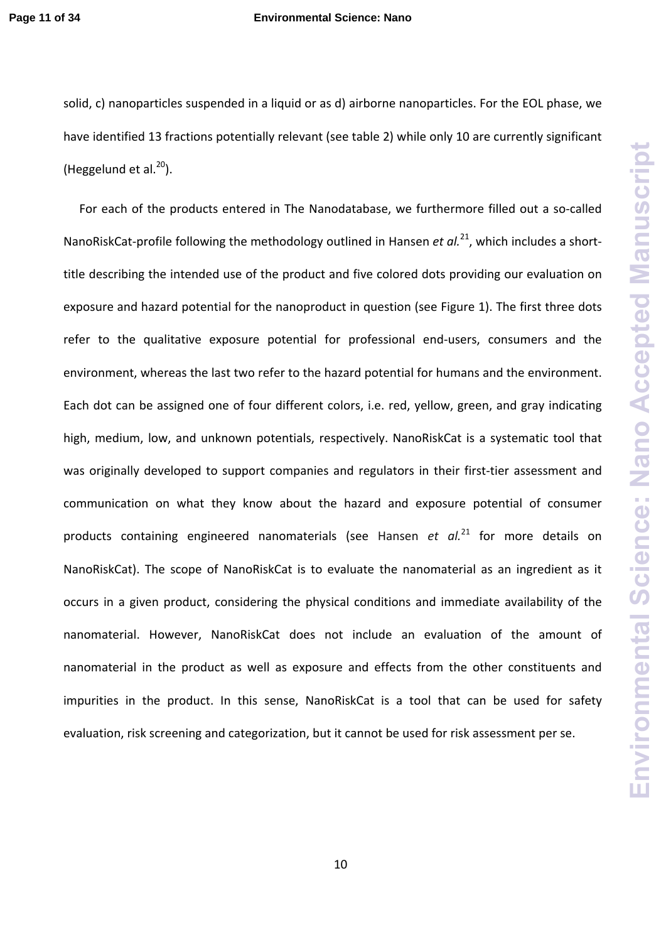#### **Page 11 of 34 Environmental Science: Nano**

solid, c) nanoparticles suspended in a liquid or as d) airborne nanoparticles. For the EOL phase, we have identified 13 fractions potentially relevant (see table 2) while only 10 are currently significant (Heggelund et al. $^{20}$ ).

For each of the products entered in The Nanodatabase, we furthermore filled out a so-called NanoRiskCat‐profile following the methodology outlined in Hansen *et al.*21, which includes a short‐ title describing the intended use of the product and five colored dots providing our evaluation on exposure and hazard potential for the nanoproduct in question (see Figure 1). The first three dots refer to the qualitative exposure potential for professional end-users, consumers and the environment, whereas the last two refer to the hazard potential for humans and the environment. Each dot can be assigned one of four different colors, i.e. red, yellow, green, and gray indicating high, medium, low, and unknown potentials, respectively. NanoRiskCat is a systematic tool that was originally developed to support companies and regulators in their first-tier assessment and communication on what they know about the hazard and exposure potential of consumer products containing engineered nanomaterials (see Hansen *et al.*<sup>21</sup> for more details on NanoRiskCat). The scope of NanoRiskCat is to evaluate the nanomaterial as an ingredient as it occurs in a given product, considering the physical conditions and immediate availability of the nanomaterial. However, NanoRiskCat does not include an evaluation of the amount of nanomaterial in the product as well as exposure and effects from the other constituents and impurities in the product. In this sense, NanoRiskCat is a tool that can be used for safety evaluation, risk screening and categorization, but it cannot be used for risk assessment per se.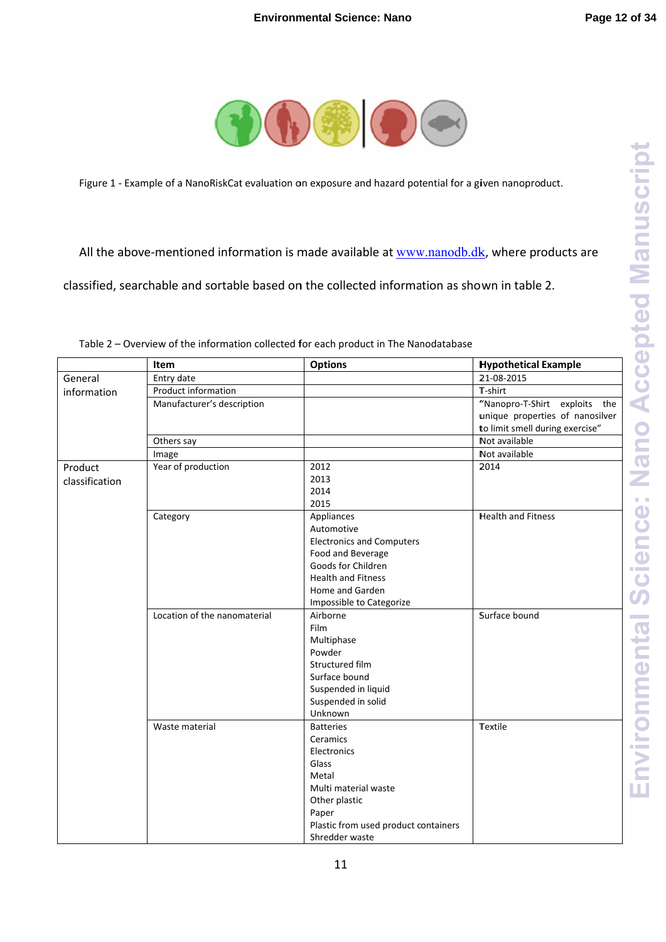**Environmental Science: Nano Accepted Manuscript Environmental Science: Nano Accepted Manuscript**



Figure 1 - Example of a NanoRiskCat evaluation on exposure and hazard potential for a given nanoproduct.

All the above-mentioned information is made available at **www.nanodb.dk**, where products are

classified, searchable and sortable based on the collected information as shown in table 2.

|                | Item                         | <b>Options</b>                       | <b>Hypothetical Example</b>     |
|----------------|------------------------------|--------------------------------------|---------------------------------|
| General        | Entry date                   |                                      | 21-08-2015                      |
| information    | Product information          |                                      | T-shirt                         |
|                | Manufacturer's description   |                                      | "Nanopro-T-Shirt exploits the   |
|                |                              |                                      | unique properties of nanosilver |
|                |                              |                                      | to limit smell during exercise" |
|                | Others say                   |                                      | Not available                   |
|                | Image                        |                                      | Not available                   |
| Product        | Year of production           | 2012                                 | 2014                            |
| classification |                              | 2013                                 |                                 |
|                |                              | 2014                                 |                                 |
|                |                              | 2015                                 |                                 |
|                | Category                     | Appliances                           | <b>Health and Fitness</b>       |
|                |                              | Automotive                           |                                 |
|                |                              | <b>Electronics and Computers</b>     |                                 |
|                |                              | Food and Beverage                    |                                 |
|                |                              | Goods for Children                   |                                 |
|                |                              | <b>Health and Fitness</b>            |                                 |
|                |                              | Home and Garden                      |                                 |
|                |                              | Impossible to Categorize             |                                 |
|                | Location of the nanomaterial | Airborne                             | Surface bound                   |
|                |                              | <b>Film</b>                          |                                 |
|                |                              | Multiphase                           |                                 |
|                |                              | Powder                               |                                 |
|                |                              | Structured film                      |                                 |
|                |                              | Surface bound                        |                                 |
|                |                              | Suspended in liquid                  |                                 |
|                |                              | Suspended in solid                   |                                 |
|                |                              | Unknown                              |                                 |
|                | Waste material               | <b>Batteries</b>                     | Textile                         |
|                |                              | Ceramics                             |                                 |
|                |                              | Electronics                          |                                 |
|                |                              | Glass                                |                                 |
|                |                              | Metal                                |                                 |
|                |                              | Multi material waste                 |                                 |
|                |                              | Other plastic                        |                                 |
|                |                              | Paper                                |                                 |
|                |                              | Plastic from used product containers |                                 |
|                |                              | Shredder waste                       |                                 |

Table 2 – Overview of the information collected for each product in The Nanodatabase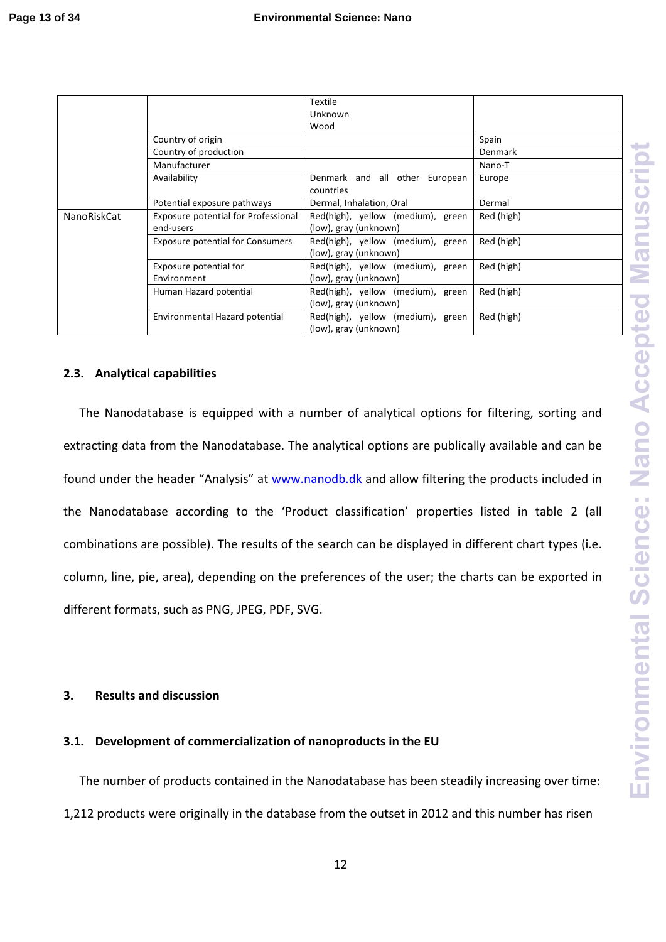|                    |                                         | <b>Textile</b>                    |                |
|--------------------|-----------------------------------------|-----------------------------------|----------------|
|                    |                                         | Unknown                           |                |
|                    |                                         | Wood                              |                |
|                    | Country of origin                       |                                   | Spain          |
|                    | Country of production                   |                                   | <b>Denmark</b> |
|                    | Manufacturer                            |                                   | Nano-T         |
|                    | Availability                            | Denmark and all other European    | Europe         |
|                    |                                         | countries                         |                |
|                    | Potential exposure pathways             | Dermal, Inhalation, Oral          | Dermal         |
| <b>NanoRiskCat</b> | Exposure potential for Professional     | Red(high), yellow (medium), green | Red (high)     |
|                    | end-users                               | (low), gray (unknown)             |                |
|                    | <b>Exposure potential for Consumers</b> | Red(high), yellow (medium), green | Red (high)     |
|                    |                                         | (low), gray (unknown)             |                |
|                    | Exposure potential for                  | Red(high), yellow (medium), green | Red (high)     |
|                    | Environment                             | (low), gray (unknown)             |                |
|                    | Human Hazard potential                  | Red(high), yellow (medium), green | Red (high)     |
|                    |                                         | (low), gray (unknown)             |                |
|                    | Environmental Hazard potential          | Red(high), yellow (medium), green | Red (high)     |
|                    |                                         | (low), gray (unknown)             |                |

# **2.3. Analytical capabilities**

The Nanodatabase is equipped with a number of analytical options for filtering, sorting and extracting data from the Nanodatabase. The analytical options are publically available and can be found under the header "Analysis" at www.nanodb.dk and allow filtering the products included in the Nanodatabase according to the 'Product classification' properties listed in table 2 (all combinations are possible). The results of the search can be displayed in different chart types (i.e. column, line, pie, area), depending on the preferences of the user; the charts can be exported in different formats, such as PNG, JPEG, PDF, SVG.

# **3. Results and discussion**

# **3.1. Development of commercialization of nanoproducts in the EU**

The number of products contained in the Nanodatabase has been steadily increasing over time: 1,212 products were originally in the database from the outset in 2012 and this number has risen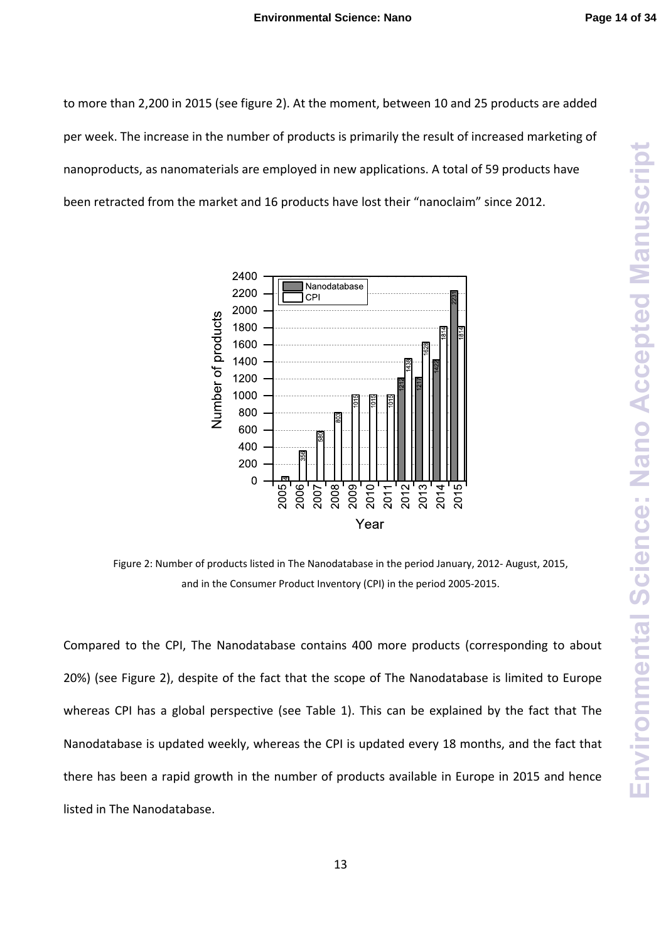to more than 2,200 in 2015 (see figure 2). At the moment, between 10 and 25 products are added per week. The increase in the number of products is primarily the result of increased marketing of nanoproducts, as nanomaterials are employed in new applications. A total of 59 products have been retracted from the market and 16 products have lost their "nanoclaim" since 2012.



Figure 2: Number of products listed in The Nanodatabase in the period January, 2012‐ August, 2015, and in the Consumer Product Inventory (CPI) in the period 2005‐2015.

Compared to the CPI, The Nanodatabase contains 400 more products (corresponding to about 20%) (see Figure 2), despite of the fact that the scope of The Nanodatabase is limited to Europe whereas CPI has a global perspective (see Table 1). This can be explained by the fact that The Nanodatabase is updated weekly, whereas the CPI is updated every 18 months, and the fact that there has been a rapid growth in the number of products available in Europe in 2015 and hence listed in The Nanodatabase.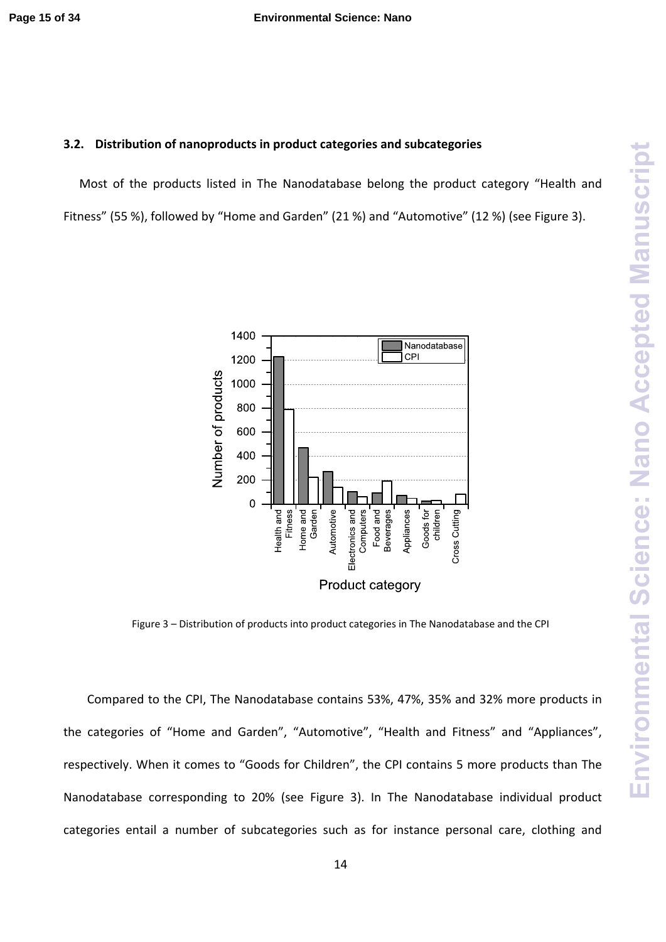## **3.2. Distribution of nanoproducts in product categories and subcategories**

Most of the products listed in The Nanodatabase belong the product category "Health and Fitness" (55 %), followed by "Home and Garden" (21 %) and "Automotive" (12 %) (see Figure 3).



Figure 3 – Distribution of products into product categories in The Nanodatabase and the CPI

Compared to the CPI, The Nanodatabase contains 53%, 47%, 35% and 32% more products in the categories of "Home and Garden", "Automotive", "Health and Fitness" and "Appliances", respectively. When it comes to "Goods for Children", the CPI contains 5 more products than The Nanodatabase corresponding to 20% (see Figure 3). In The Nanodatabase individual product categories entail a number of subcategories such as for instance personal care, clothing and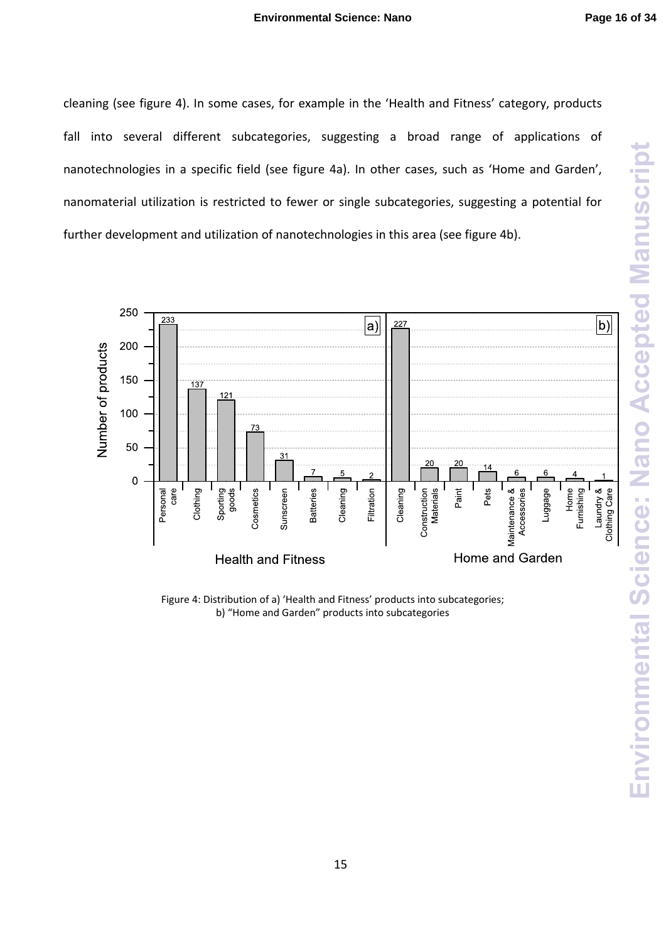cleaning (see figure 4). In some cases, for example in the 'Health and Fitness' category, products fall into several different subcategories, suggesting a broad range of applications of nanotechnologies in a specific field (see figure 4a). In other cases, such as 'Home and Garden', nanomaterial utilization is restricted to fewer or single subcategories, suggesting a potential for further development and utilization of nanotechnologies in this area (see figure 4b).



Figure 4: Distribution of a) 'Health and Fitness' products into subcategories; b) "Home and Garden" products into subcategories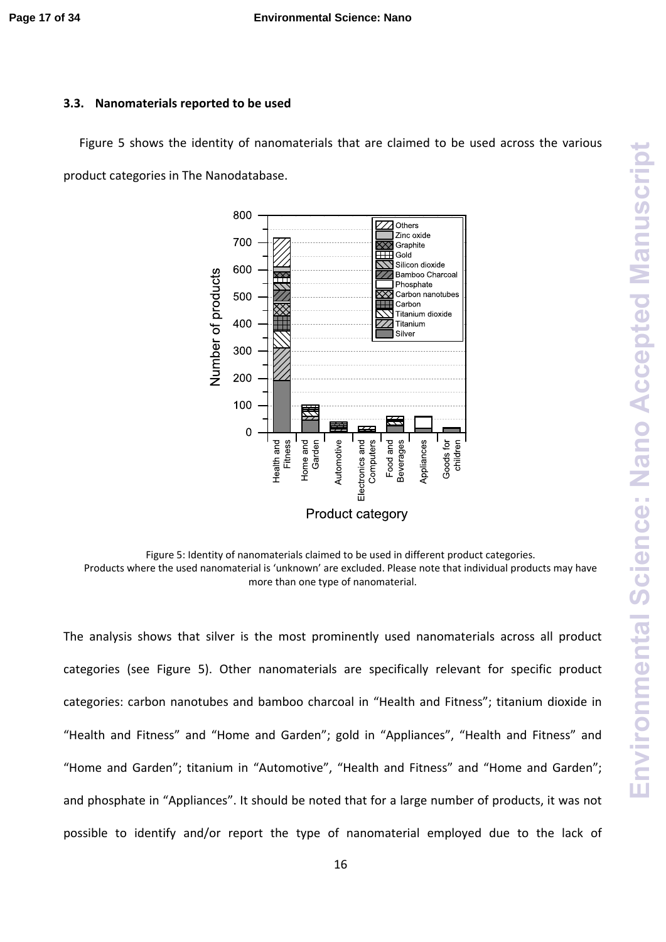## **3.3. Nanomaterials reported to be used**

Figure 5 shows the identity of nanomaterials that are claimed to be used across the various product categories in The Nanodatabase.



Figure 5: Identity of nanomaterials claimed to be used in different product categories. Products where the used nanomaterial is 'unknown' are excluded. Please note that individual products may have more than one type of nanomaterial.

The analysis shows that silver is the most prominently used nanomaterials across all product categories (see Figure 5). Other nanomaterials are specifically relevant for specific product categories: carbon nanotubes and bamboo charcoal in "Health and Fitness"; titanium dioxide in "Health and Fitness" and "Home and Garden"; gold in "Appliances", "Health and Fitness" and "Home and Garden"; titanium in "Automotive", "Health and Fitness" and "Home and Garden"; and phosphate in "Appliances". It should be noted that for a large number of products, it was not possible to identify and/or report the type of nanomaterial employed due to the lack of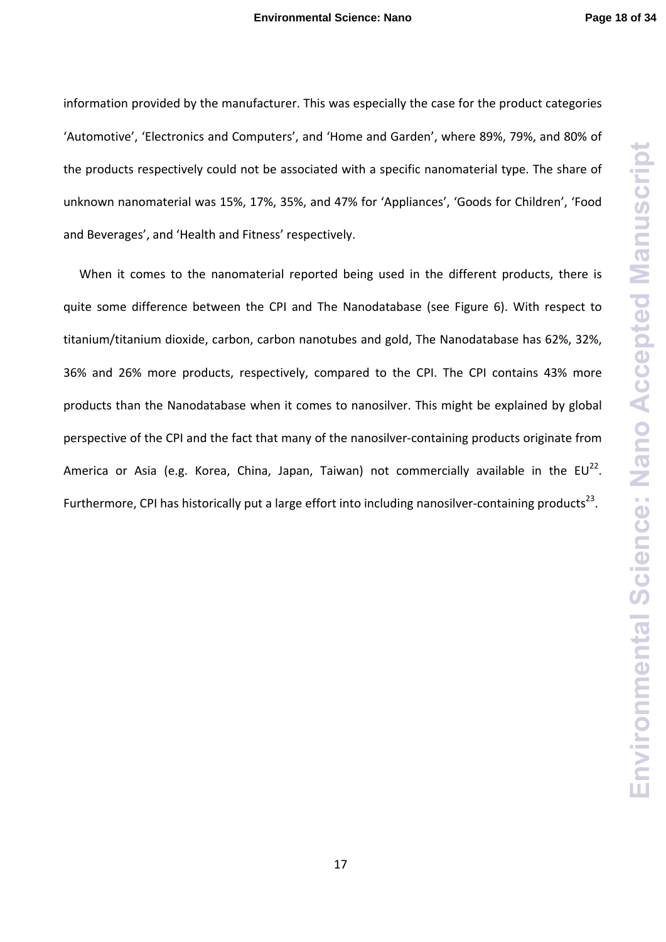information provided by the manufacturer. This was especially the case for the product categories 'Automotive', 'Electronics and Computers', and 'Home and Garden', where 89%, 79%, and 80% of the products respectively could not be associated with a specific nanomaterial type. The share of unknown nanomaterial was 15%, 17%, 35%, and 47% for 'Appliances', 'Goods for Children', 'Food and Beverages', and 'Health and Fitness' respectively.

When it comes to the nanomaterial reported being used in the different products, there is quite some difference between the CPI and The Nanodatabase (see Figure 6). With respect to titanium/titanium dioxide, carbon, carbon nanotubes and gold, The Nanodatabase has 62%, 32%, 36% and 26% more products, respectively, compared to the CPI. The CPI contains 43% more products than the Nanodatabase when it comes to nanosilver. This might be explained by global perspective of the CPI and the fact that many of the nanosilver-containing products originate from America or Asia (e.g. Korea, China, Japan, Taiwan) not commercially available in the  $EU^{22}$ . Furthermore, CPI has historically put a large effort into including nanosilver-containing products<sup>23</sup>.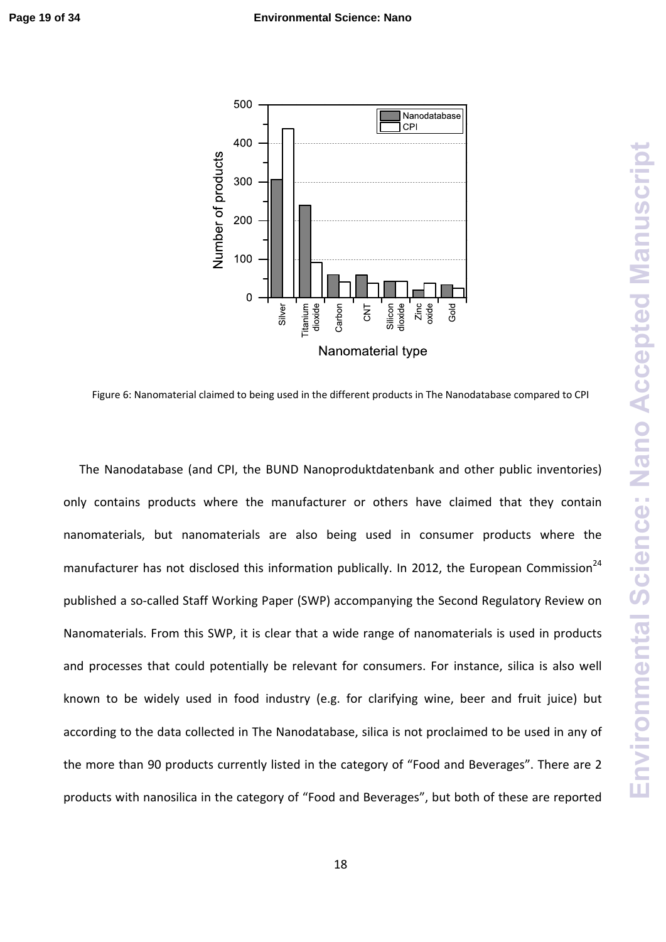

Figure 6: Nanomaterial claimed to being used in the different products in The Nanodatabase compared to CPI

**Environmental Science: Nano Accepted Manuscript**

**Environmental Science: Nano Accepted Manuscript** 

The Nanodatabase (and CPI, the BUND Nanoproduktdatenbank and other public inventories) only contains products where the manufacturer or others have claimed that they contain nanomaterials, but nanomaterials are also being used in consumer products where the manufacturer has not disclosed this information publically. In 2012, the European Commission<sup>24</sup> published a so-called Staff Working Paper (SWP) accompanying the Second Regulatory Review on Nanomaterials. From this SWP, it is clear that a wide range of nanomaterials is used in products and processes that could potentially be relevant for consumers. For instance, silica is also well known to be widely used in food industry (e.g. for clarifying wine, beer and fruit juice) but according to the data collected in The Nanodatabase, silica is not proclaimed to be used in any of the more than 90 products currently listed in the category of "Food and Beverages". There are 2 products with nanosilica in the category of "Food and Beverages", but both of these are reported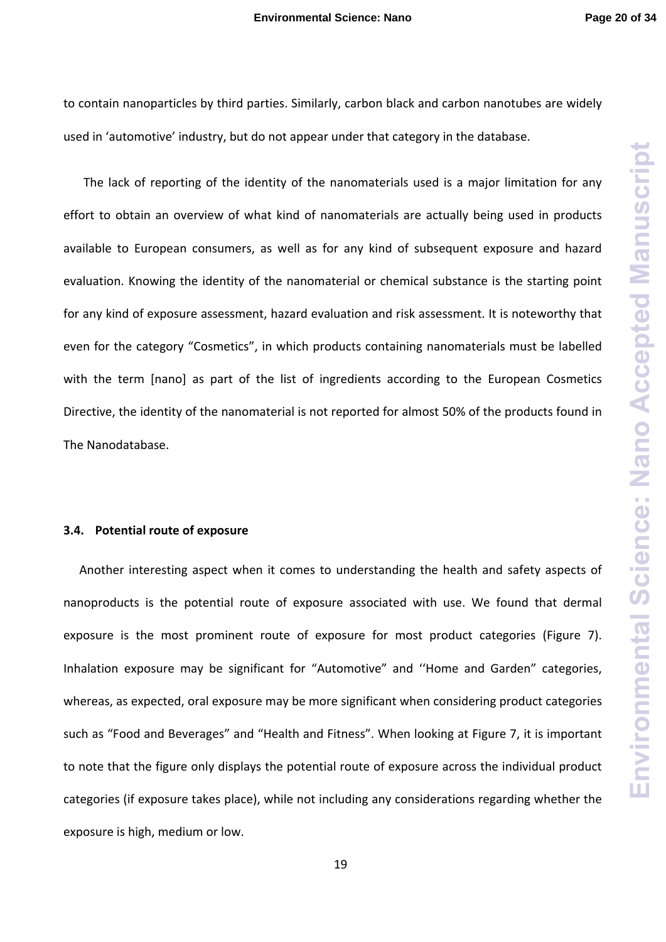to contain nanoparticles by third parties. Similarly, carbon black and carbon nanotubes are widely used in 'automotive' industry, but do not appear under that category in the database.

The lack of reporting of the identity of the nanomaterials used is a major limitation for any effort to obtain an overview of what kind of nanomaterials are actually being used in products available to European consumers, as well as for any kind of subsequent exposure and hazard evaluation. Knowing the identity of the nanomaterial or chemical substance is the starting point for any kind of exposure assessment, hazard evaluation and risk assessment. It is noteworthy that even for the category "Cosmetics", in which products containing nanomaterials must be labelled with the term [nano] as part of the list of ingredients according to the European Cosmetics Directive, the identity of the nanomaterial is not reported for almost 50% of the products found in The Nanodatabase.

#### **3.4. Potential route of exposure**

Another interesting aspect when it comes to understanding the health and safety aspects of nanoproducts is the potential route of exposure associated with use. We found that dermal exposure is the most prominent route of exposure for most product categories (Figure 7). Inhalation exposure may be significant for "Automotive" and ''Home and Garden" categories, whereas, as expected, oral exposure may be more significant when considering product categories such as "Food and Beverages" and "Health and Fitness". When looking at Figure 7, it is important to note that the figure only displays the potential route of exposure across the individual product categories (if exposure takes place), while not including any considerations regarding whether the exposure is high, medium or low.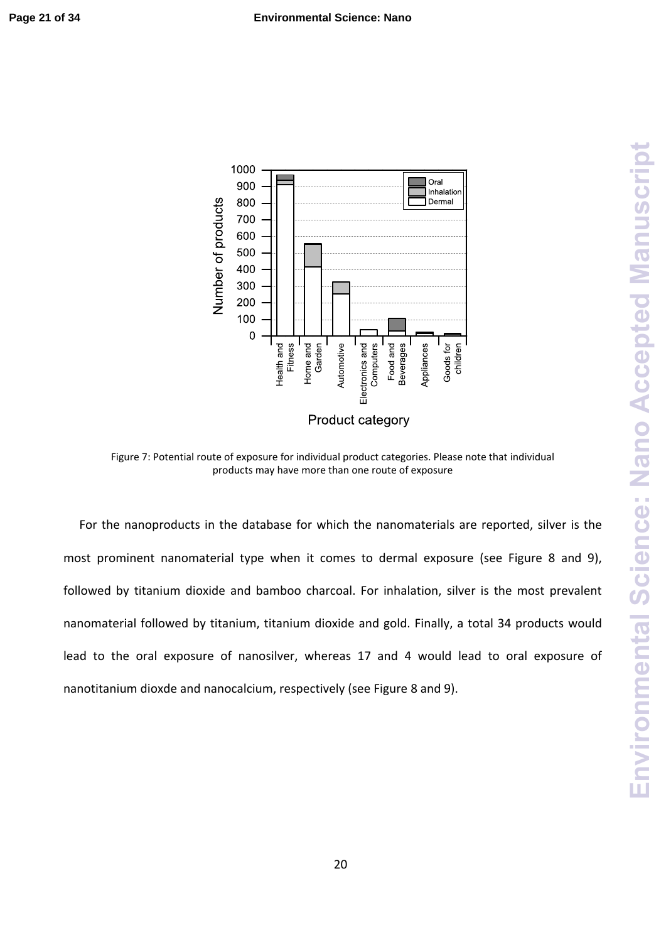

Figure 7: Potential route of exposure for individual product categories. Please note that individual products may have more than one route of exposure

For the nanoproducts in the database for which the nanomaterials are reported, silver is the most prominent nanomaterial type when it comes to dermal exposure (see Figure 8 and 9), followed by titanium dioxide and bamboo charcoal. For inhalation, silver is the most prevalent nanomaterial followed by titanium, titanium dioxide and gold. Finally, a total 34 products would lead to the oral exposure of nanosilver, whereas 17 and 4 would lead to oral exposure of nanotitanium dioxde and nanocalcium, respectively (see Figure 8 and 9).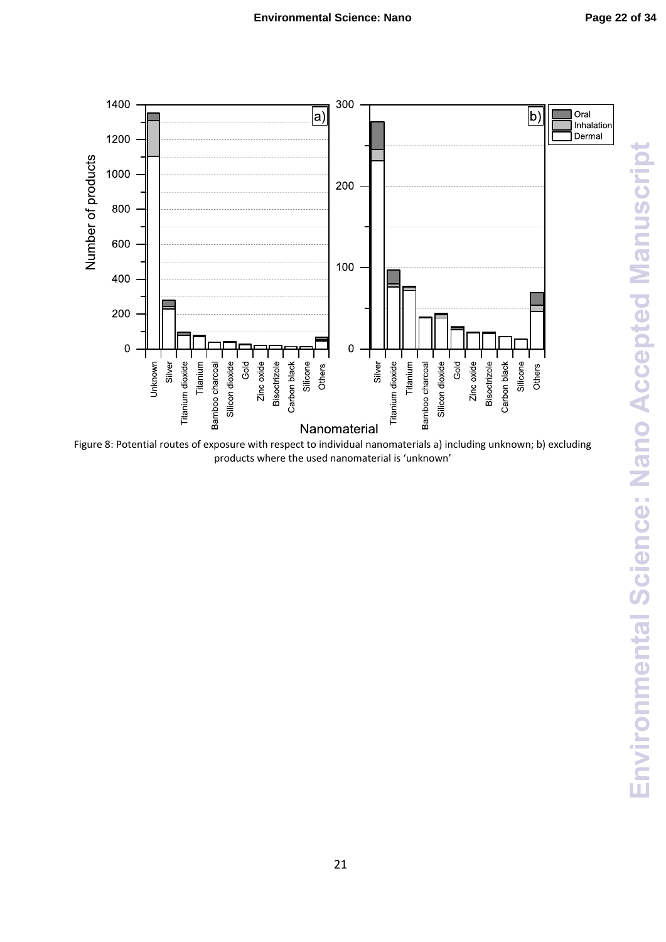

Figure 8: Potential routes of exposure with respect to individual nanomaterials a) including unknown; b) excluding products where the used nanomaterial is 'unknown'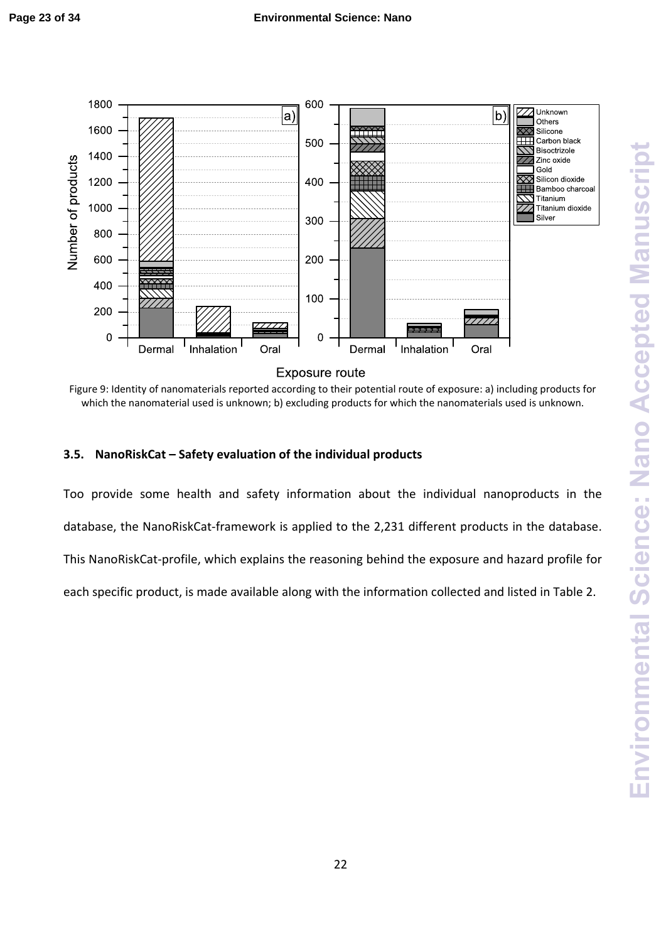

Figure 9: Identity of nanomaterials reported according to their potential route of exposure: a) including products for which the nanomaterial used is unknown; b) excluding products for which the nanomaterials used is unknown.

# **3.5. NanoRiskCat – Safety evaluation of the individual products**

Too provide some health and safety information about the individual nanoproducts in the database, the NanoRiskCat‐framework is applied to the 2,231 different products in the database. This NanoRiskCat‐profile, which explains the reasoning behind the exposure and hazard profile for each specific product, is made available along with the information collected and listed in Table 2.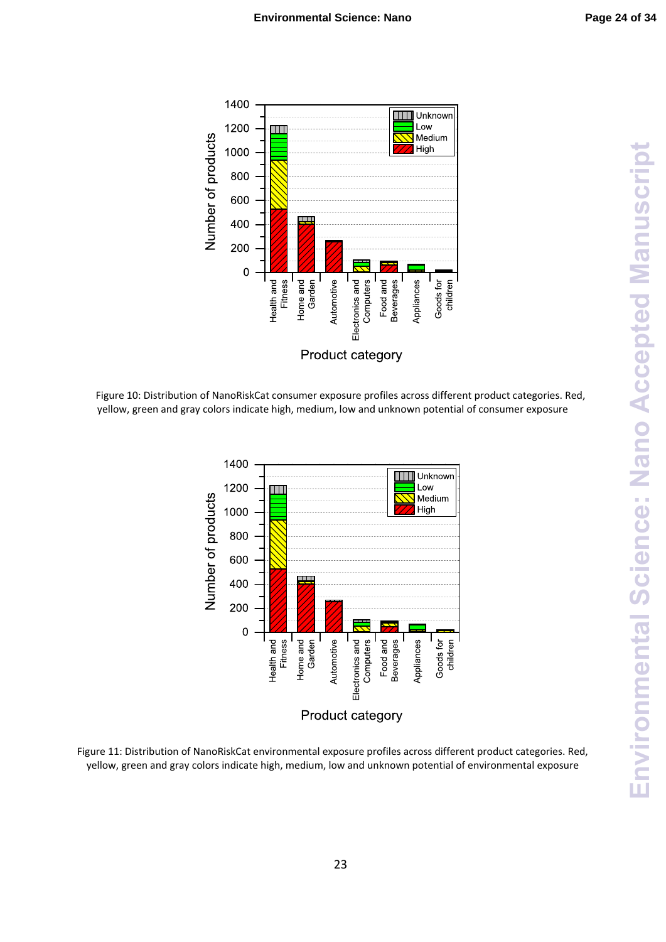

Figure 10: Distribution of NanoRiskCat consumer exposure profiles across different product categories. Red, yellow, green and gray colors indicate high, medium, low and unknown potential of consumer exposure



Figure 11: Distribution of NanoRiskCat environmental exposure profiles across different product categories. Red, yellow, green and gray colors indicate high, medium, low and unknown potential of environmental exposure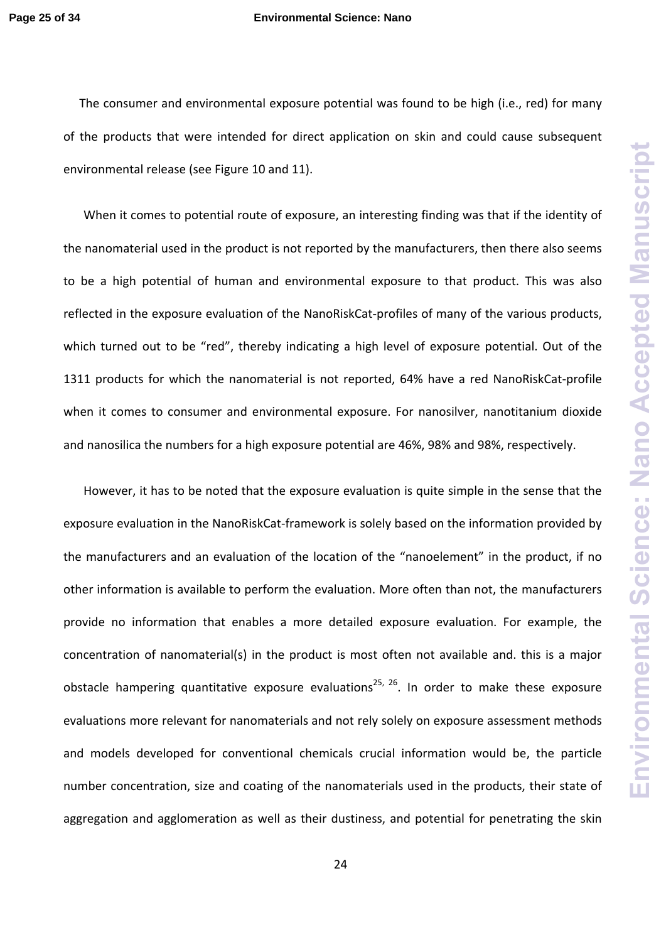#### **Page 25 of 34 Environmental Science: Nano**

The consumer and environmental exposure potential was found to be high (i.e., red) for many of the products that were intended for direct application on skin and could cause subsequent environmental release (see Figure 10 and 11).

When it comes to potential route of exposure, an interesting finding was that if the identity of the nanomaterial used in the product is not reported by the manufacturers, then there also seems to be a high potential of human and environmental exposure to that product. This was also reflected in the exposure evaluation of the NanoRiskCat-profiles of many of the various products, which turned out to be "red", thereby indicating a high level of exposure potential. Out of the 1311 products for which the nanomaterial is not reported, 64% have a red NanoRiskCat-profile when it comes to consumer and environmental exposure. For nanosilver, nanotitanium dioxide and nanosilica the numbers for a high exposure potential are 46%, 98% and 98%, respectively.

However, it has to be noted that the exposure evaluation is quite simple in the sense that the exposure evaluation in the NanoRiskCat‐framework is solely based on the information provided by the manufacturers and an evaluation of the location of the "nanoelement" in the product, if no other information is available to perform the evaluation. More often than not, the manufacturers provide no information that enables a more detailed exposure evaluation. For example, the concentration of nanomaterial(s) in the product is most often not available and. this is a major obstacle hampering quantitative exposure evaluations<sup>25, 26</sup>. In order to make these exposure evaluations more relevant for nanomaterials and not rely solely on exposure assessment methods and models developed for conventional chemicals crucial information would be, the particle number concentration, size and coating of the nanomaterials used in the products, their state of aggregation and agglomeration as well as their dustiness, and potential for penetrating the skin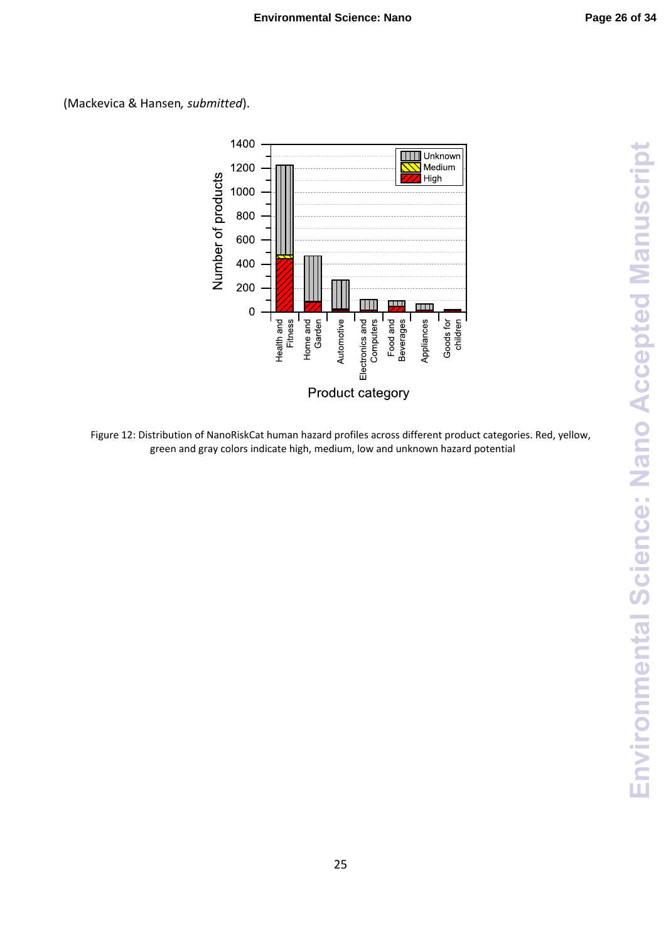



Figure 12: Distribution of NanoRiskCat human hazard profiles across different product categories. Red, yellow, green and gray colors indicate high, medium, low and unknown hazard potential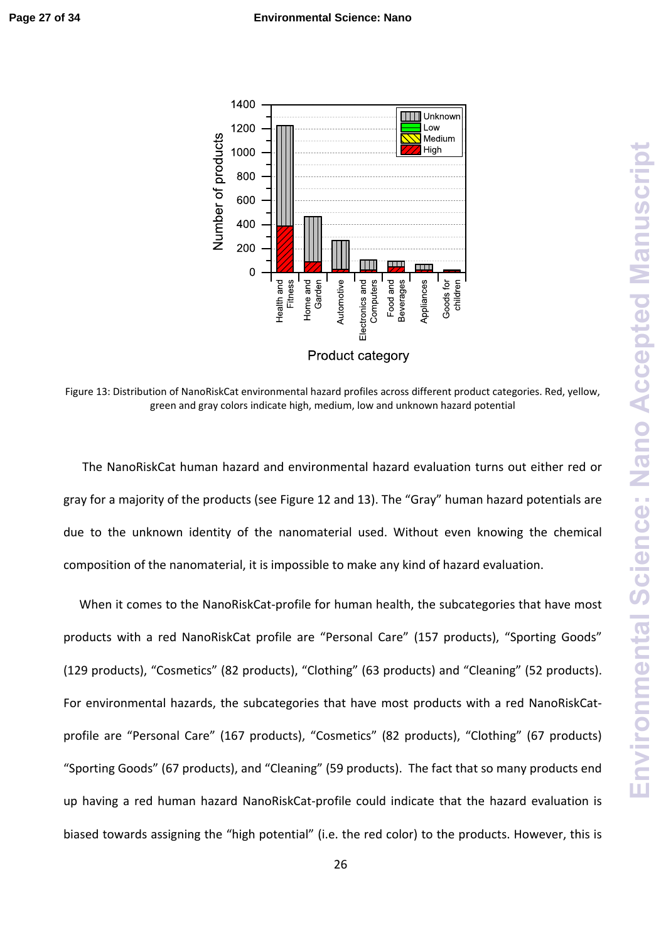

Figure 13: Distribution of NanoRiskCat environmental hazard profiles across different product categories. Red, yellow, green and gray colors indicate high, medium, low and unknown hazard potential

The NanoRiskCat human hazard and environmental hazard evaluation turns out either red or gray for a majority of the products (see Figure 12 and 13). The "Gray" human hazard potentials are due to the unknown identity of the nanomaterial used. Without even knowing the chemical composition of the nanomaterial, it is impossible to make any kind of hazard evaluation.

When it comes to the NanoRiskCat-profile for human health, the subcategories that have most products with a red NanoRiskCat profile are "Personal Care" (157 products), "Sporting Goods" (129 products), "Cosmetics" (82 products), "Clothing" (63 products) and "Cleaning" (52 products). For environmental hazards, the subcategories that have most products with a red NanoRiskCatprofile are "Personal Care" (167 products), "Cosmetics" (82 products), "Clothing" (67 products) "Sporting Goods" (67 products), and "Cleaning" (59 products). The fact that so many products end up having a red human hazard NanoRiskCat‐profile could indicate that the hazard evaluation is biased towards assigning the "high potential" (i.e. the red color) to the products. However, this is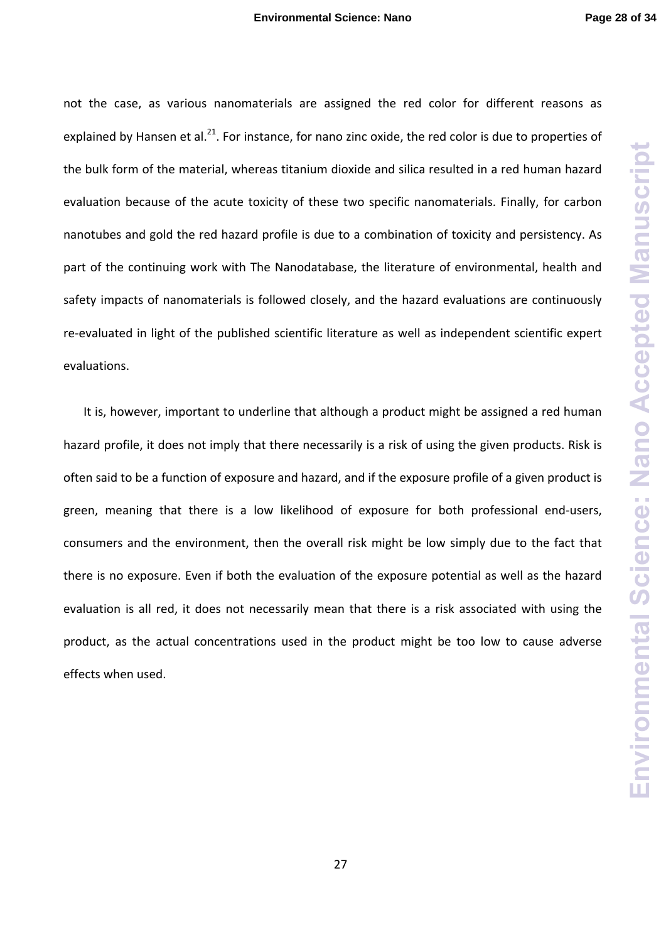not the case, as various nanomaterials are assigned the red color for different reasons as explained by Hansen et al.<sup>21</sup>. For instance, for nano zinc oxide, the red color is due to properties of the bulk form of the material, whereas titanium dioxide and silica resulted in a red human hazard evaluation because of the acute toxicity of these two specific nanomaterials. Finally, for carbon nanotubes and gold the red hazard profile is due to a combination of toxicity and persistency. As part of the continuing work with The Nanodatabase, the literature of environmental, health and safety impacts of nanomaterials is followed closely, and the hazard evaluations are continuously re‐evaluated in light of the published scientific literature as well as independent scientific expert evaluations.

It is, however, important to underline that although a product might be assigned a red human hazard profile, it does not imply that there necessarily is a risk of using the given products. Risk is often said to be a function of exposure and hazard, and if the exposure profile of a given product is green, meaning that there is a low likelihood of exposure for both professional end‐users, consumers and the environment, then the overall risk might be low simply due to the fact that there is no exposure. Even if both the evaluation of the exposure potential as well as the hazard evaluation is all red, it does not necessarily mean that there is a risk associated with using the product, as the actual concentrations used in the product might be too low to cause adverse effects when used.

27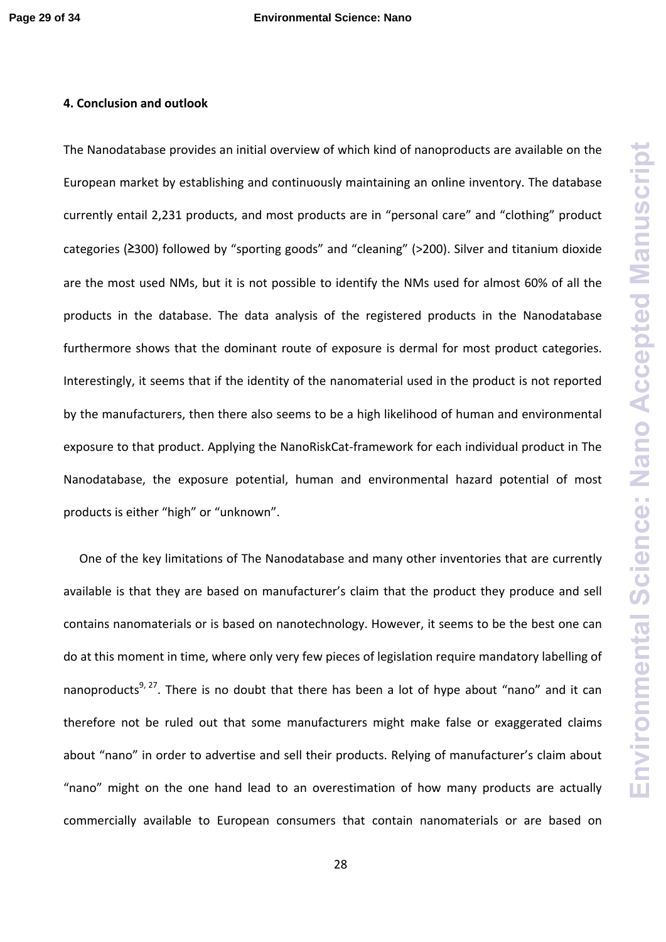## **4. Conclusion and outlook**

The Nanodatabase provides an initial overview of which kind of nanoproducts are available on the European market by establishing and continuously maintaining an online inventory. The database currently entail 2,231 products, and most products are in "personal care" and "clothing" product categories (≥300) followed by "sporting goods" and "cleaning" (>200). Silver and titanium dioxide are the most used NMs, but it is not possible to identify the NMs used for almost 60% of all the products in the database. The data analysis of the registered products in the Nanodatabase furthermore shows that the dominant route of exposure is dermal for most product categories. Interestingly, it seems that if the identity of the nanomaterial used in the product is not reported by the manufacturers, then there also seems to be a high likelihood of human and environmental exposure to that product. Applying the NanoRiskCat‐framework for each individual product in The Nanodatabase, the exposure potential, human and environmental hazard potential of most products is either "high" or "unknown".

One of the key limitations of The Nanodatabase and many other inventories that are currently available is that they are based on manufacturer's claim that the product they produce and sell contains nanomaterials or is based on nanotechnology. However, it seems to be the best one can do at this moment in time, where only very few pieces of legislation require mandatory labelling of nanoproducts<sup>9, 27</sup>. There is no doubt that there has been a lot of hype about "nano" and it can therefore not be ruled out that some manufacturers might make false or exaggerated claims about "nano" in order to advertise and sell their products. Relying of manufacturer's claim about "nano" might on the one hand lead to an overestimation of how many products are actually commercially available to European consumers that contain nanomaterials or are based on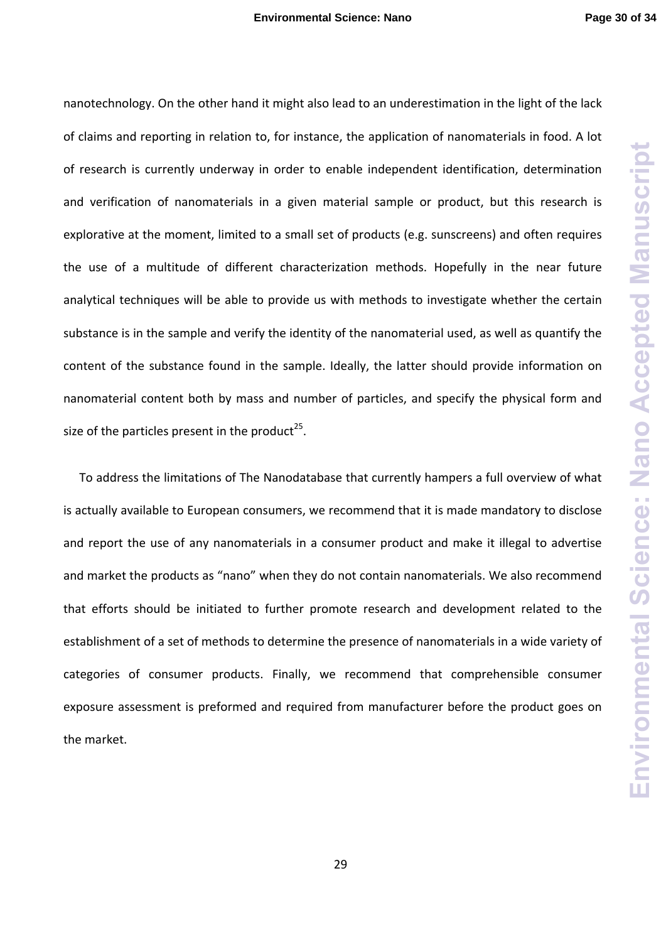nanotechnology. On the other hand it might also lead to an underestimation in the light of the lack of claims and reporting in relation to, for instance, the application of nanomaterials in food. A lot of research is currently underway in order to enable independent identification, determination and verification of nanomaterials in a given material sample or product, but this research is explorative at the moment, limited to a small set of products (e.g. sunscreens) and often requires the use of a multitude of different characterization methods. Hopefully in the near future analytical techniques will be able to provide us with methods to investigate whether the certain substance is in the sample and verify the identity of the nanomaterial used, as well as quantify the content of the substance found in the sample. Ideally, the latter should provide information on nanomaterial content both by mass and number of particles, and specify the physical form and size of the particles present in the product<sup>25</sup>.

To address the limitations of The Nanodatabase that currently hampers a full overview of what is actually available to European consumers, we recommend that it is made mandatory to disclose and report the use of any nanomaterials in a consumer product and make it illegal to advertise and market the products as "nano" when they do not contain nanomaterials. We also recommend that efforts should be initiated to further promote research and development related to the establishment of a set of methods to determine the presence of nanomaterials in a wide variety of categories of consumer products. Finally, we recommend that comprehensible consumer exposure assessment is preformed and required from manufacturer before the product goes on the market.

29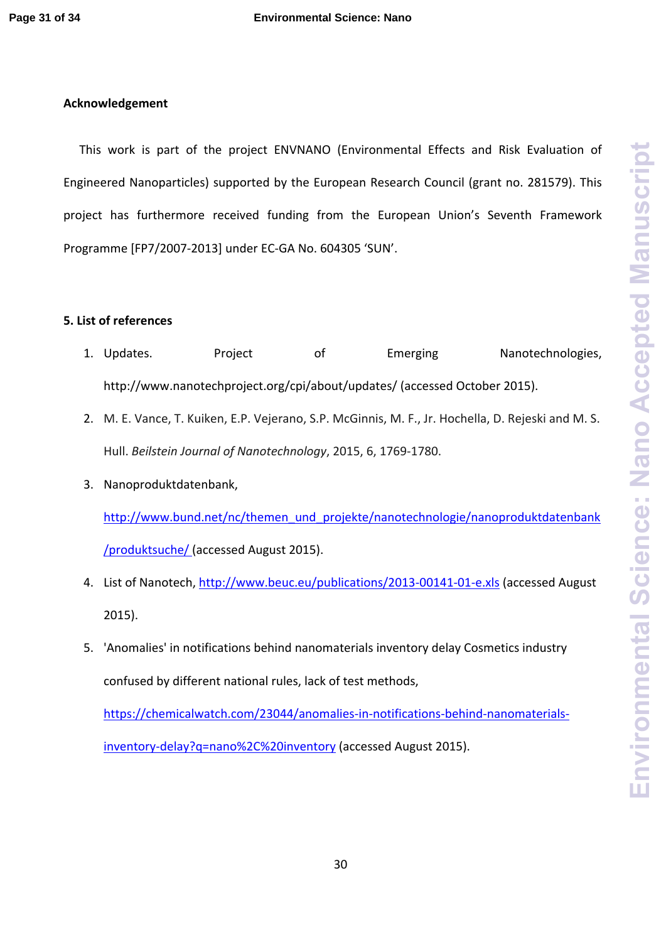# **Acknowledgement**

This work is part of the project ENVNANO (Environmental Effects and Risk Evaluation of Engineered Nanoparticles) supported by the European Research Council (grant no. 281579). This project has furthermore received funding from the European Union's Seventh Framework Programme [FP7/2007‐2013] under EC‐GA No. 604305 'SUN'.

# **5. List of references**

- 1. Updates. Project of Emerging Nanotechnologies, http://www.nanotechproject.org/cpi/about/updates/ (accessed October 2015).
- 2. M. E. Vance, T. Kuiken, E.P. Vejerano, S.P. McGinnis, M. F., Jr. Hochella, D. Rejeski and M. S. Hull. *Beilstein Journal of Nanotechnology*, 2015, 6, 1769‐1780.
- 3. Nanoproduktdatenbank,

http://www.bund.net/nc/themen\_und\_projekte/nanotechnologie/nanoproduktdatenbank /produktsuche/ (accessed August 2015).

- 4. List of Nanotech, http://www.beuc.eu/publications/2013-00141-01-e.xls (accessed August 2015).
- 5. 'Anomalies' in notifications behind nanomaterials inventory delay Cosmetics industry confused by different national rules, lack of test methods,

https://chemicalwatch.com/23044/anomalies-in-notifications-behind-nanomaterialsinventory-delay?q=nano%2C%20inventory (accessed August 2015).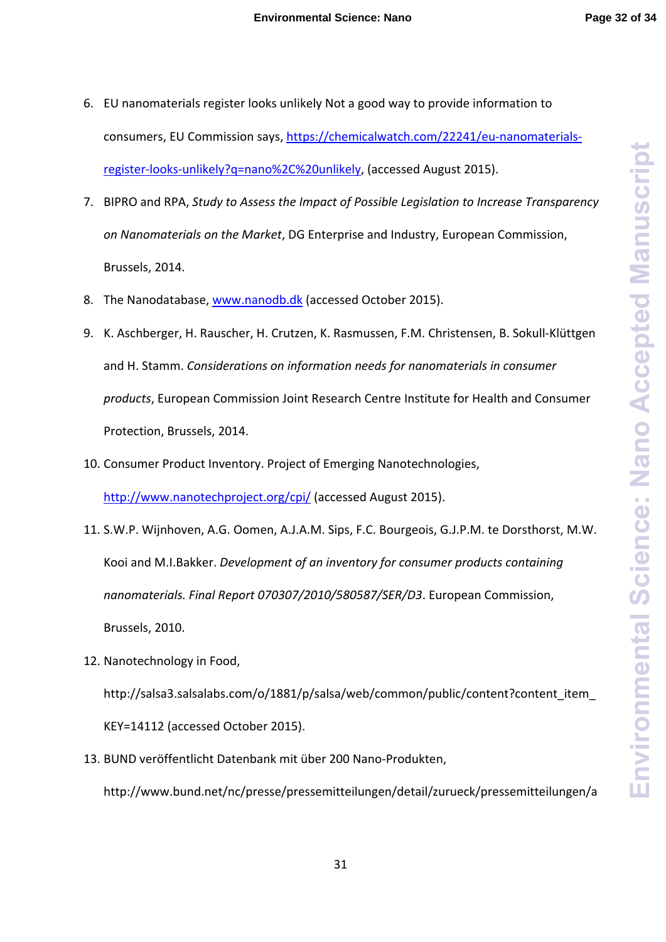- 6. EU nanomaterials register looks unlikely Not a good way to provide information to consumers, EU Commission says, https://chemicalwatch.com/22241/eu‐nanomaterials‐ register‐looks‐unlikely?q=nano%2C%20unlikely, (accessed August 2015).
- 7. BIPRO and RPA, *Study to Assess the Impact of Possible Legislation to Increase Transparency on Nanomaterials on the Market*, DG Enterprise and Industry, European Commission, Brussels, 2014.
- 8. The Nanodatabase, www.nanodb.dk (accessed October 2015).
- 9. K. Aschberger, H. Rauscher, H. Crutzen, K. Rasmussen, F.M. Christensen, B. Sokull‐Klüttgen and H. Stamm. *Considerations on information needs for nanomaterials in consumer products*, European Commission Joint Research Centre Institute for Health and Consumer Protection, Brussels, 2014.
- 10. Consumer Product Inventory. Project of Emerging Nanotechnologies,

http://www.nanotechproject.org/cpi/ (accessed August 2015).

- 11. S.W.P. Wijnhoven, A.G. Oomen, A.J.A.M. Sips, F.C. Bourgeois, G.J.P.M. te Dorsthorst, M.W. Kooi and M.I.Bakker. *Development of an inventory for consumer products containing nanomaterials. Final Report 070307/2010/580587/SER/D3*. European Commission, Brussels, 2010.
- 12. Nanotechnology in Food, http://salsa3.salsalabs.com/o/1881/p/salsa/web/common/public/content?content\_item KEY=14112 (accessed October 2015).
- 13. BUND veröffentlicht Datenbank mit über 200 Nano‐Produkten, http://www.bund.net/nc/presse/pressemitteilungen/detail/zurueck/pressemitteilungen/a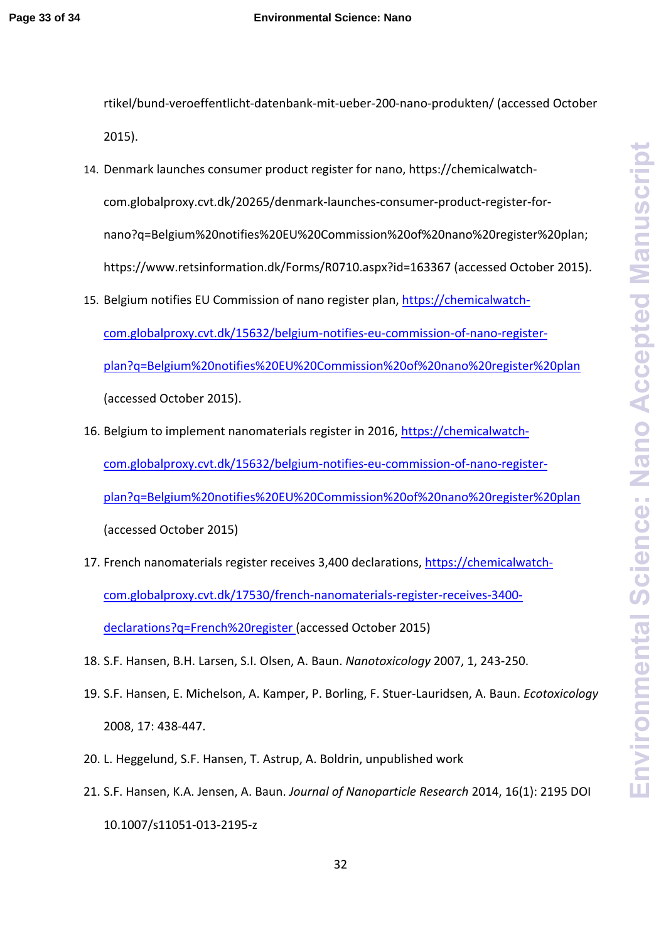rtikel/bund‐veroeffentlicht‐datenbank‐mit‐ueber‐200‐nano‐produkten/ (accessed October 2015).

- 14. Denmark launches consumer product register for nano, https://chemicalwatch‐ com.globalproxy.cvt.dk/20265/denmark‐launches‐consumer‐product‐register‐for‐ nano?q=Belgium%20notifies%20EU%20Commission%20of%20nano%20register%20plan; https://www.retsinformation.dk/Forms/R0710.aspx?id=163367 (accessed October 2015).
- 15. Belgium notifies EU Commission of nano register plan, https://chemicalwatch‐ com.globalproxy.cvt.dk/15632/belgium‐notifies‐eu‐commission‐of‐nano‐register‐ plan?q=Belgium%20notifies%20EU%20Commission%20of%20nano%20register%20plan (accessed October 2015).
- 16. Belgium to implement nanomaterials register in 2016, https://chemicalwatch‐ com.globalproxy.cvt.dk/15632/belgium‐notifies‐eu‐commission‐of‐nano‐register‐ plan?q=Belgium%20notifies%20EU%20Commission%20of%20nano%20register%20plan (accessed October 2015)
- 17. French nanomaterials register receives 3,400 declarations, https://chemicalwatch‐ com.globalproxy.cvt.dk/17530/french‐nanomaterials‐register‐receives‐3400‐ declarations?q=French%20register (accessed October 2015)
- 18. S.F. Hansen, B.H. Larsen, S.I. Olsen, A. Baun. *Nanotoxicology* 2007, 1, 243‐250.
- 19. S.F. Hansen, E. Michelson, A. Kamper, P. Borling, F. Stuer‐Lauridsen, A. Baun. *Ecotoxicology* 2008, 17: 438‐447.
- 20. L. Heggelund, S.F. Hansen, T. Astrup, A. Boldrin, unpublished work
- 21. S.F. Hansen, K.A. Jensen, A. Baun. *Journal of Nanoparticle Research* 2014, 16(1): 2195 DOI 10.1007/s11051‐013‐2195‐z